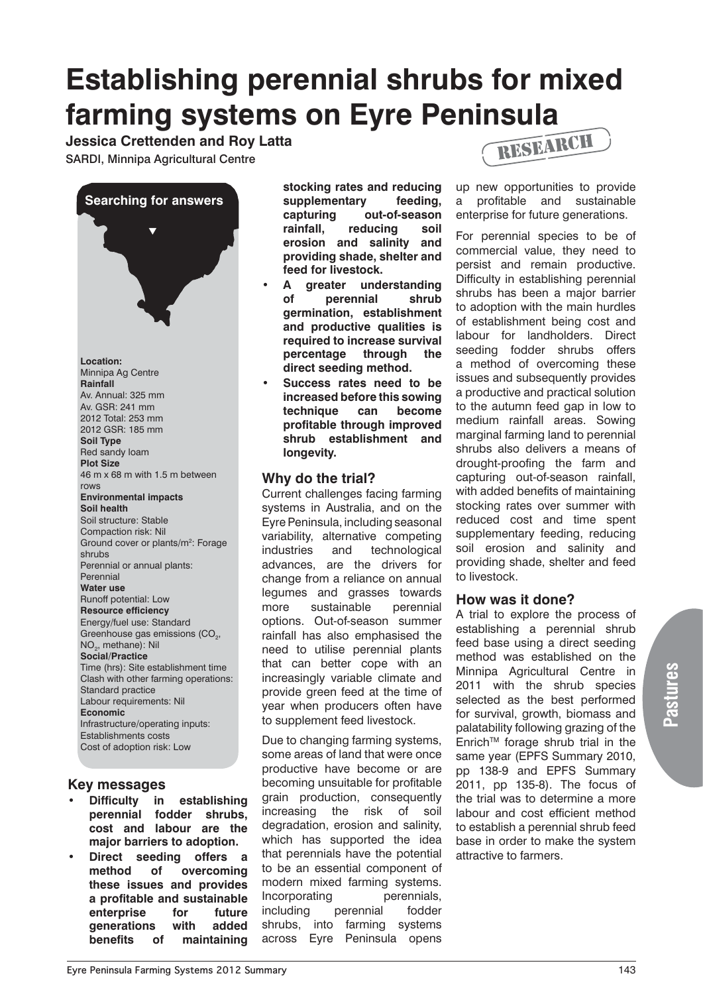# **Establishing perennial shrubs for mixed farming systems on Eyre Peninsula**

**Jessica Crettenden and Roy Latta**

SARDI, Minnipa Agricultural Centre

**Searching for answers**

 $\blacktriangledown$ 

**Location:**  Minnipa Ag Centre **Rainfall** Av. Annual: 325 mm Av. GSR: 241 mm 2012 Total: 253 mm 2012 GSR: 185 mm **Soil Type** Red sandy loam **Plot Size** 46 m x 68 m with 1.5 m between rows **Environmental impacts Soil health** Soil structure: Stable Compaction risk: Nil Ground cover or plants/m<sup>2</sup>: Forage shrubs Perennial or annual plants: Perennial **Water use** Runoff potential: Low **Resource efficiency** Energy/fuel use: Standard Greenhouse gas emissions (CO<sub>2</sub>, NO<sub>2</sub>, methane): Nil **Social/Practice** Time (hrs): Site establishment time Clash with other farming operations: Standard practice Labour requirements: Nil **Economic** Infrastructure/operating inputs: Establishments costs Cost of adoption risk: Low

## **Key messages**

- **Difficulty in establishing perennial fodder shrubs, cost and labour are the major barriers to adoption.**
- **Direct seeding offers a method of overcoming these issues and provides a profitable and sustainable enterprise for future generations with added benefits of maintaining**

**stocking rates and reducing supplementary feeding, capturing out-of-season rainfall, reducing soil erosion and salinity and providing shade, shelter and feed for livestock.**

- **• A greater understanding of perennial shrub germination, establishment and productive qualities is required to increase survival percentage through the direct seeding method.**
- **Success rates need to be increased before this sowing technique can become profitable through improved shrub establishment and longevity.**

## **Why do the trial?**

Current challenges facing farming systems in Australia, and on the Eyre Peninsula, including seasonal variability, alternative competing industries and technological advances, are the drivers for change from a reliance on annual legumes and grasses towards more sustainable perennial options. Out-of-season summer rainfall has also emphasised the need to utilise perennial plants that can better cope with an increasingly variable climate and provide green feed at the time of year when producers often have to supplement feed livestock.

Due to changing farming systems, some areas of land that were once productive have become or are becoming unsuitable for profitable grain production, consequently increasing the risk of soil degradation, erosion and salinity, which has supported the idea that perennials have the potential to be an essential component of modern mixed farming systems. Incorporating perennials, including perennial fodder shrubs, into farming systems across Eyre Peninsula opens



up new opportunities to provide a profitable and sustainable enterprise for future generations.

For perennial species to be of commercial value, they need to persist and remain productive. Difficulty in establishing perennial shrubs has been a major barrier to adoption with the main hurdles of establishment being cost and labour for landholders. Direct seeding fodder shrubs offers a method of overcoming these issues and subsequently provides a productive and practical solution to the autumn feed gap in low to medium rainfall areas. Sowing marginal farming land to perennial shrubs also delivers a means of drought-proofing the farm and capturing out-of-season rainfall, with added benefits of maintaining stocking rates over summer with reduced cost and time spent supplementary feeding, reducing soil erosion and salinity and providing shade, shelter and feed to livestock.

## **How was it done?**

A trial to explore the process of establishing a perennial shrub feed base using a direct seeding method was established on the Minnipa Agricultural Centre in 2011 with the shrub species selected as the best performed for survival, growth, biomass and palatability following grazing of the EnrichTM forage shrub trial in the same year (EPFS Summary 2010, pp 138-9 and EPFS Summary 2011, pp 135-8). The focus of the trial was to determine a more labour and cost efficient method to establish a perennial shrub feed base in order to make the system attractive to farmers.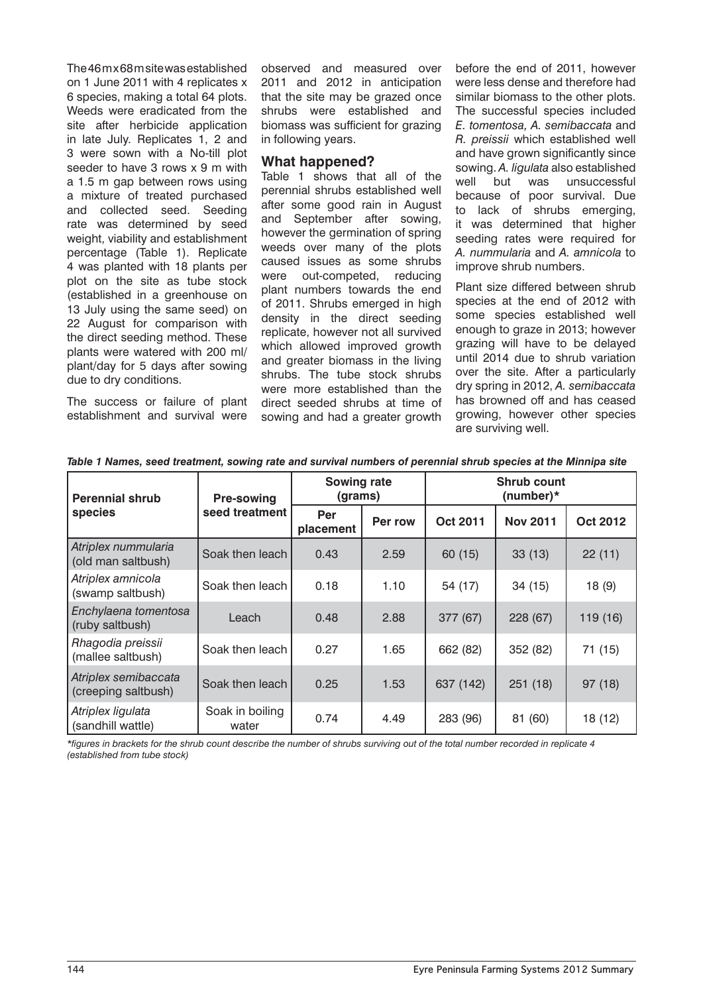The 46 m x 68 m site was established on 1 June 2011 with 4 replicates x 6 species, making a total 64 plots. Weeds were eradicated from the site after herbicide application in late July. Replicates 1, 2 and 3 were sown with a No-till plot seeder to have 3 rows x 9 m with a 1.5 m gap between rows using a mixture of treated purchased and collected seed. Seeding rate was determined by seed weight, viability and establishment percentage (Table 1). Replicate 4 was planted with 18 plants per plot on the site as tube stock (established in a greenhouse on 13 July using the same seed) on 22 August for comparison with the direct seeding method. These plants were watered with 200 ml/ plant/day for 5 days after sowing due to dry conditions.

The success or failure of plant establishment and survival were

observed and measured over 2011 and 2012 in anticipation that the site may be grazed once shrubs were established and biomass was sufficient for grazing in following years.

#### **What happened?**

Table 1 shows that all of the perennial shrubs established well after some good rain in August and September after sowing, however the germination of spring weeds over many of the plots caused issues as some shrubs were out-competed, reducing plant numbers towards the end of 2011. Shrubs emerged in high density in the direct seeding replicate, however not all survived which allowed improved growth and greater biomass in the living shrubs. The tube stock shrubs were more established than the direct seeded shrubs at time of sowing and had a greater growth

before the end of 2011, however were less dense and therefore had similar biomass to the other plots. The successful species included *E. tomentosa, A. semibaccata* and *R. preissii* which established well and have grown significantly since sowing. *A. ligulata* also established well but was unsuccessful because of poor survival. Due to lack of shrubs emerging, it was determined that higher seeding rates were required for *A. nummularia* and *A. amnicola* to improve shrub numbers.

Plant size differed between shrub species at the end of 2012 with some species established well enough to graze in 2013; however grazing will have to be delayed until 2014 due to shrub variation over the site. After a particularly dry spring in 2012, *A. semibaccata*  has browned off and has ceased growing, however other species are surviving well.

| <b>Perennial shrub</b><br>species           | <b>Pre-sowing</b><br>seed treatment | <b>Sowing rate</b><br>(grams) |         | <b>Shrub count</b><br>(number)* |                 |          |
|---------------------------------------------|-------------------------------------|-------------------------------|---------|---------------------------------|-----------------|----------|
|                                             |                                     | Per<br>placement              | Per row | Oct 2011                        | <b>Nov 2011</b> | Oct 2012 |
| Atriplex nummularia<br>(old man saltbush)   | Soak then leach                     | 0.43                          | 2.59    | 60 (15)                         | 33(13)          | 22(11)   |
| Atriplex amnicola<br>(swamp saltbush)       | Soak then leach                     | 0.18                          | 1.10    | 54 (17)                         | 34 (15)         | 18(9)    |
| Enchylaena tomentosa<br>(ruby saltbush)     | Leach                               | 0.48                          | 2.88    | 377 (67)                        | 228 (67)        | 119 (16) |
| Rhagodia preissii<br>(mallee saltbush)      | Soak then leach                     | 0.27                          | 1.65    | 662 (82)                        | 352 (82)        | 71 (15)  |
| Atriplex semibaccata<br>(creeping saltbush) | Soak then leach                     | 0.25                          | 1.53    | 637 (142)                       | 251(18)         | 97(18)   |
| Atriplex ligulata<br>(sandhill wattle)      | Soak in boiling<br>water            | 0.74                          | 4.49    | 283 (96)                        | 81 (60)         | 18 (12)  |

*Table 1 Names, seed treatment, sowing rate and survival numbers of perennial shrub species at the Minnipa site*

*\*figures in brackets for the shrub count describe the number of shrubs surviving out of the total number recorded in replicate 4 (established from tube stock)*